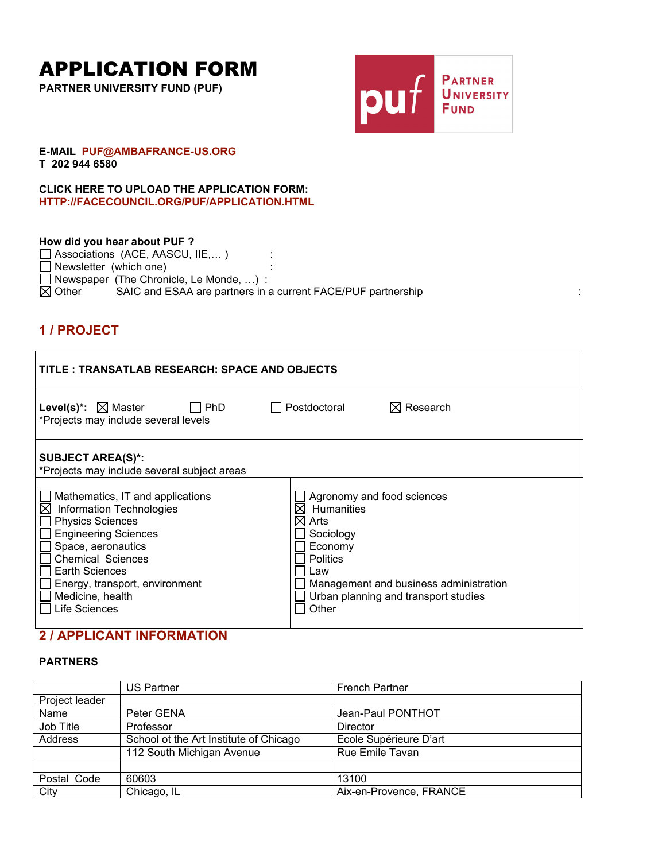# APPLICATION FORM

**PARTNER UNIVERSITY FUND (PUF)**



#### **E-MAIL PUF@AMBAFRANCE-US.ORG T 202 944 6580**

**CLICK HERE TO UPLOAD THE APPLICATION FORM: HTTP://FACECOUNCIL.ORG/PUF/APPLICATION.HTML**

#### **How did you hear about PUF ?**

| $\Box$ Associations (ACE, AASCU, IIE,)  |                                                              |  |
|-----------------------------------------|--------------------------------------------------------------|--|
| Newsletter (which one)                  |                                                              |  |
| Newspaper (The Chronicle, Le Monde, ) : |                                                              |  |
| $\boxtimes$ Other                       | SAIC and ESAA are partners in a current FACE/PUF partnership |  |

# **1 / PROJECT**

| TITLE: TRANSATLAB RESEARCH: SPACE AND OBJECTS                                                                                                                                                                                                                                                                                                     |                                                                                                                                                                                                      |
|---------------------------------------------------------------------------------------------------------------------------------------------------------------------------------------------------------------------------------------------------------------------------------------------------------------------------------------------------|------------------------------------------------------------------------------------------------------------------------------------------------------------------------------------------------------|
| <b>Level(s)*:</b> $\boxtimes$ Master<br>l I PhD<br>*Projects may include several levels                                                                                                                                                                                                                                                           | $\boxtimes$ Research<br>Postdoctoral                                                                                                                                                                 |
| <b>SUBJECT AREA(S)*:</b><br>*Projects may include several subject areas<br>Mathematics, IT and applications<br>$\boxtimes$<br><b>Information Technologies</b><br><b>Physics Sciences</b><br><b>Engineering Sciences</b><br>Space, aeronautics<br><b>Chemical Sciences</b><br>Earth Sciences<br>Energy, transport, environment<br>Medicine, health | Agronomy and food sciences<br><b>Humanities</b><br>XI.<br>⊠ Arts<br>Sociology<br>Economy<br><b>Politics</b><br>Law<br>Management and business administration<br>Urban planning and transport studies |
| Life Sciences                                                                                                                                                                                                                                                                                                                                     | Other                                                                                                                                                                                                |

# **2 / APPLICANT INFORMATION**

#### **PARTNERS**

|                | <b>US Partner</b>                      | <b>French Partner</b>   |
|----------------|----------------------------------------|-------------------------|
| Project leader |                                        |                         |
| Name           | Peter GENA                             | Jean-Paul PONTHOT       |
| Job Title      | Professor                              | Director                |
| Address        | School ot the Art Institute of Chicago | Ecole Supérieure D'art  |
|                | 112 South Michigan Avenue              | Rue Emile Tavan         |
|                |                                        |                         |
| Postal Code    | 60603                                  | 13100                   |
| City           | Chicago, IL                            | Aix-en-Provence, FRANCE |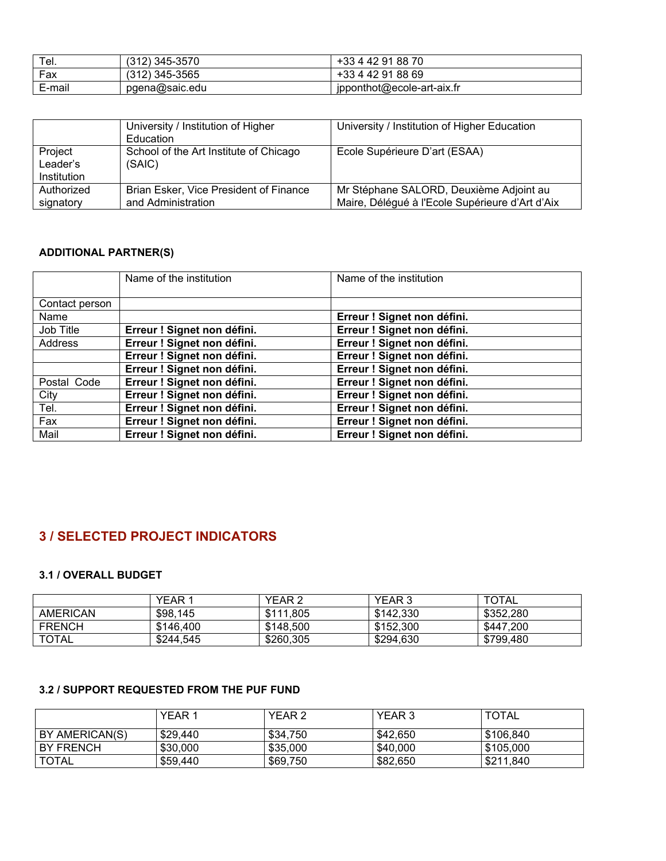| Tel.   | $(312)$ 345-3570 | +33 4 42 91 88 70          |
|--------|------------------|----------------------------|
| Fax    | $(312)$ 345-3565 | +33 4 42 91 88 69          |
| E-mail | pgena@saic.edu   | jpponthot@ecole-art-aix.fr |

|                                    | University / Institution of Higher<br>Education              | University / Institution of Higher Education                                               |
|------------------------------------|--------------------------------------------------------------|--------------------------------------------------------------------------------------------|
| Project<br>Leader's<br>Institution | School of the Art Institute of Chicago<br>(SAIC)             | Ecole Supérieure D'art (ESAA)                                                              |
| Authorized<br>signatory            | Brian Esker, Vice President of Finance<br>and Administration | Mr Stéphane SALORD, Deuxième Adjoint au<br>Maire, Délégué à l'Ecole Supérieure d'Art d'Aix |

## **ADDITIONAL PARTNER(S)**

|                | Name of the institution     | Name of the institution     |
|----------------|-----------------------------|-----------------------------|
|                |                             |                             |
| Contact person |                             |                             |
| Name           |                             | Erreur ! Signet non défini. |
| Job Title      | Erreur ! Signet non défini. | Erreur ! Signet non défini. |
| Address        | Erreur ! Signet non défini. | Erreur ! Signet non défini. |
|                | Erreur ! Signet non défini. | Erreur ! Signet non défini. |
|                | Erreur ! Signet non défini. | Erreur ! Signet non défini. |
| Postal Code    | Erreur ! Signet non défini. | Erreur ! Signet non défini. |
| City           | Erreur ! Signet non défini. | Erreur ! Signet non défini. |
| Tel.           | Erreur ! Signet non défini. | Erreur ! Signet non défini. |
| Fax            | Erreur ! Signet non défini. | Erreur ! Signet non défini. |
| Mail           | Erreur ! Signet non défini. | Erreur ! Signet non défini. |

# **3 / SELECTED PROJECT INDICATORS**

## **3.1 / OVERALL BUDGET**

|               | <b>YEAR 1</b> | YEAR <sub>2</sub> | YEAR 3    | <b>TOTAL</b> |
|---------------|---------------|-------------------|-----------|--------------|
| AMERICAN      | \$98,145      | \$111.805         | \$142.330 | \$352.280    |
| <b>FRENCH</b> | \$146.400     | \$148,500         | \$152,300 | \$447,200    |
| <b>TOTAL</b>  | \$244.545     | \$260.305         | \$294.630 | \$799.480    |

## **3.2 / SUPPORT REQUESTED FROM THE PUF FUND**

|                | <b>YEAR1</b> | YEAR 2   | YEAR 3   | <b>TOTAL</b> |
|----------------|--------------|----------|----------|--------------|
| BY AMERICAN(S) | \$29,440     | \$34.750 | \$42.650 | \$106.840    |
| BY FRENCH      | \$30,000     | \$35,000 | \$40,000 | \$105,000    |
| <b>TOTAL</b>   | \$59,440     | \$69,750 | \$82,650 | \$211.840    |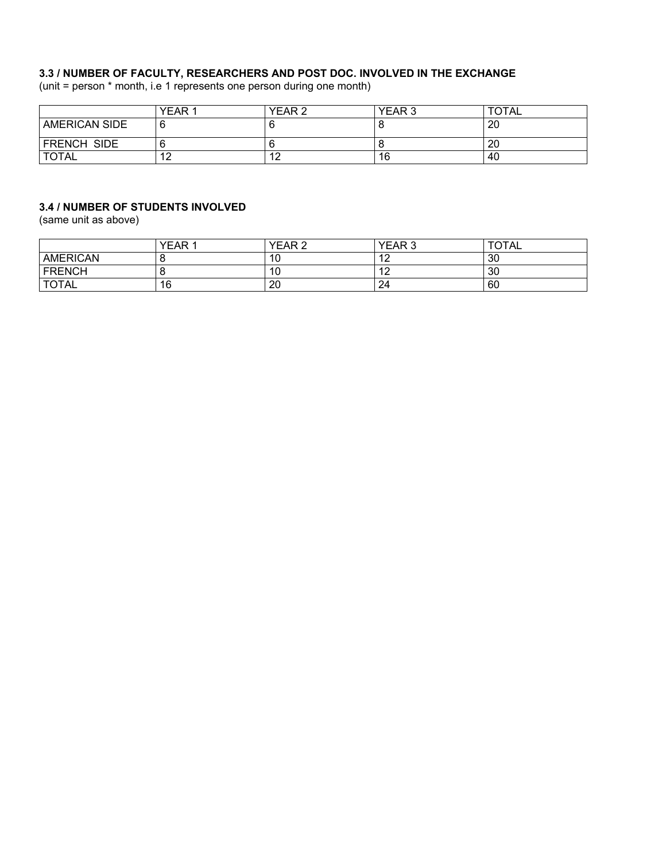#### **3.3 / NUMBER OF FACULTY, RESEARCHERS AND POST DOC. INVOLVED IN THE EXCHANGE**

(unit = person \* month, i.e 1 represents one person during one month)

|                      | YEAR 1               | YEAR 2 | YEAR <sub>3</sub> | TOTAL |
|----------------------|----------------------|--------|-------------------|-------|
| <b>AMERICAN SIDE</b> |                      |        |                   | 20    |
| <b>FRENCH SIDE</b>   |                      |        |                   | 20    |
| <b>TOTAL</b>         | $\sim$<br>. <u>.</u> | 12     | 16                | 40    |

#### **3.4 / NUMBER OF STUDENTS INVOLVED**

(same unit as above)

|                 | <b>YEAR</b> | <b>YEAR 2</b> | YEAR <sub>3</sub>              | <b>TOTAL</b> |
|-----------------|-------------|---------------|--------------------------------|--------------|
| <b>AMERICAN</b> |             | 10            | $\sim$<br>. <u>. .</u>         | 30           |
| <b>FRENCH</b>   |             | 10            | $\overline{a}$<br>. <u>. .</u> | 30           |
| <b>TOTAL</b>    | 16          | 20            | 24                             | 60           |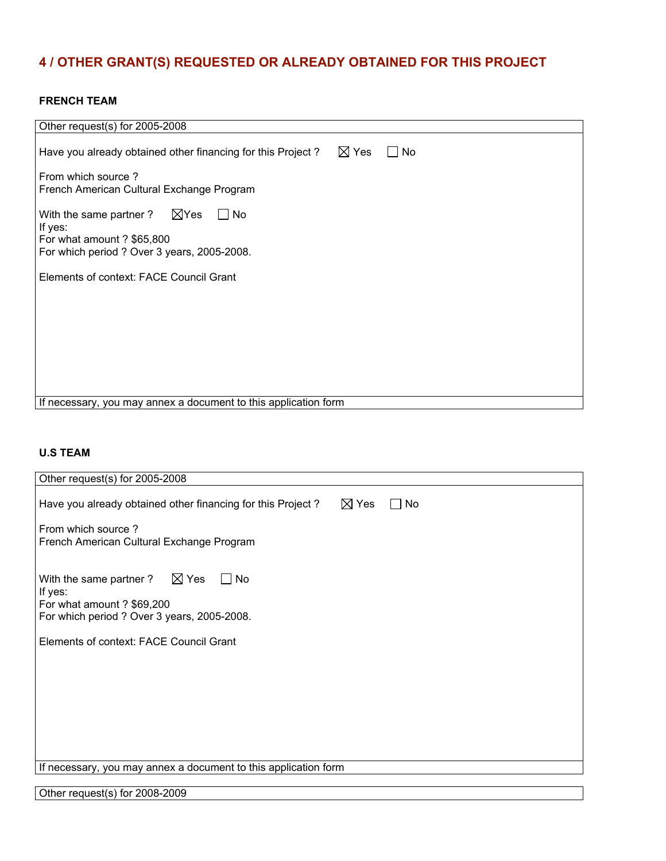# **4 / OTHER GRANT(S) REQUESTED OR ALREADY OBTAINED FOR THIS PROJECT**

#### **FRENCH TEAM**

| Other request(s) for 2005-2008                                                                                                         |
|----------------------------------------------------------------------------------------------------------------------------------------|
| $\boxtimes$ Yes<br>Have you already obtained other financing for this Project?<br>$\Box$ No                                            |
| From which source?<br>French American Cultural Exchange Program                                                                        |
| With the same partner ? $\boxtimes$ Yes<br>No.<br>If yes:<br>For what amount ? \$65,800<br>For which period ? Over 3 years, 2005-2008. |
| Elements of context: FACE Council Grant                                                                                                |
|                                                                                                                                        |
|                                                                                                                                        |
| If necessary, you may annex a document to this application form                                                                        |

## **U.S TEAM**

| Other request(s) for 2005-2008                                                                                                           |
|------------------------------------------------------------------------------------------------------------------------------------------|
| $\boxtimes$ Yes<br>Have you already obtained other financing for this Project?<br>No                                                     |
| From which source?<br>French American Cultural Exchange Program                                                                          |
| With the same partner ? $\boxtimes$ Yes<br>l INo<br>If yes:<br>For what amount ? \$69,200<br>For which period ? Over 3 years, 2005-2008. |
| Elements of context: FACE Council Grant                                                                                                  |
| If necessary, you may annex a document to this application form                                                                          |

Other request(s) for 2008-2009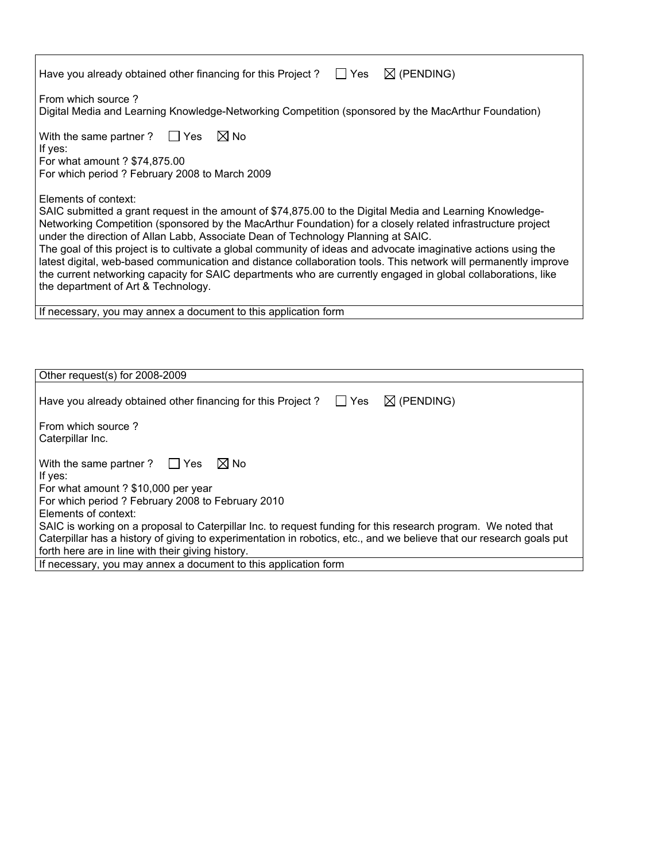| $\boxtimes$ (PENDING)<br>Yes<br>Have you already obtained other financing for this Project?                                                                                                                                                                                                                                                                                                                                                                                                                                                                                                                                                                                                                                        |
|------------------------------------------------------------------------------------------------------------------------------------------------------------------------------------------------------------------------------------------------------------------------------------------------------------------------------------------------------------------------------------------------------------------------------------------------------------------------------------------------------------------------------------------------------------------------------------------------------------------------------------------------------------------------------------------------------------------------------------|
| From which source?<br>Digital Media and Learning Knowledge-Networking Competition (sponsored by the MacArthur Foundation)                                                                                                                                                                                                                                                                                                                                                                                                                                                                                                                                                                                                          |
| $\boxtimes$ No<br>With the same partner ? $\Box$ Yes<br>If yes:<br>For what amount ? \$74,875.00<br>For which period ? February 2008 to March 2009                                                                                                                                                                                                                                                                                                                                                                                                                                                                                                                                                                                 |
| Elements of context:<br>SAIC submitted a grant request in the amount of \$74,875.00 to the Digital Media and Learning Knowledge-<br>Networking Competition (sponsored by the MacArthur Foundation) for a closely related infrastructure project<br>under the direction of Allan Labb, Associate Dean of Technology Planning at SAIC.<br>The goal of this project is to cultivate a global community of ideas and advocate imaginative actions using the<br>latest digital, web-based communication and distance collaboration tools. This network will permanently improve<br>the current networking capacity for SAIC departments who are currently engaged in global collaborations, like<br>the department of Art & Technology. |
| If necessary, you may annex a document to this application form                                                                                                                                                                                                                                                                                                                                                                                                                                                                                                                                                                                                                                                                    |
|                                                                                                                                                                                                                                                                                                                                                                                                                                                                                                                                                                                                                                                                                                                                    |

| Other request(s) for 2008-2009                                                                                                                                                                                                                                                                                                                                                                                                                                            |
|---------------------------------------------------------------------------------------------------------------------------------------------------------------------------------------------------------------------------------------------------------------------------------------------------------------------------------------------------------------------------------------------------------------------------------------------------------------------------|
| $\Box$ Yes<br>$\boxtimes$ (PENDING)<br>Have you already obtained other financing for this Project?                                                                                                                                                                                                                                                                                                                                                                        |
| From which source?<br>Caterpillar Inc.                                                                                                                                                                                                                                                                                                                                                                                                                                    |
| $M$ No<br>With the same partner ? $\Box$ Yes<br>If yes:<br>For what amount ? \$10,000 per year<br>For which period ? February 2008 to February 2010<br>Elements of context:<br>SAIC is working on a proposal to Caterpillar Inc. to request funding for this research program. We noted that<br>Caterpillar has a history of giving to experimentation in robotics, etc., and we believe that our research goals put<br>forth here are in line with their giving history. |
| If necessary, you may annex a document to this application form                                                                                                                                                                                                                                                                                                                                                                                                           |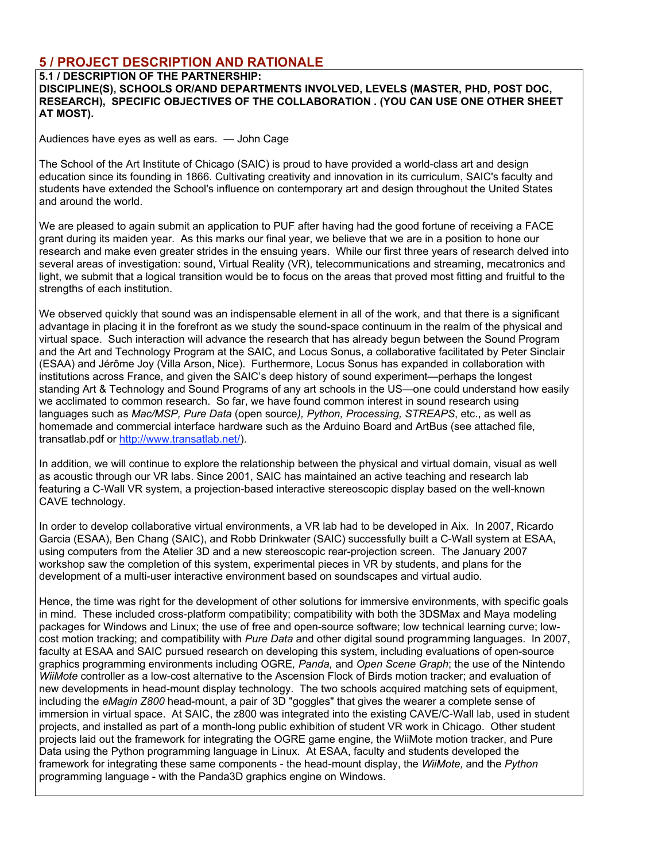## **5 / PROJECT DESCRIPTION AND RATIONALE**

#### **5.1 / DESCRIPTION OF THE PARTNERSHIP:**

**DISCIPLINE(S), SCHOOLS OR/AND DEPARTMENTS INVOLVED, LEVELS (MASTER, PHD, POST DOC, RESEARCH), SPECIFIC OBJECTIVES OF THE COLLABORATION . (YOU CAN USE ONE OTHER SHEET AT MOST).**

Audiences have eyes as well as ears. — John Cage

The School of the Art Institute of Chicago (SAIC) is proud to have provided a world-class art and design education since its founding in 1866. Cultivating creativity and innovation in its curriculum, SAIC's faculty and students have extended the School's influence on contemporary art and design throughout the United States and around the world.

We are pleased to again submit an application to PUF after having had the good fortune of receiving a FACE grant during its maiden year. As this marks our final year, we believe that we are in a position to hone our research and make even greater strides in the ensuing years. While our first three years of research delved into several areas of investigation: sound, Virtual Reality (VR), telecommunications and streaming, mecatronics and light, we submit that a logical transition would be to focus on the areas that proved most fitting and fruitful to the strengths of each institution.

We observed quickly that sound was an indispensable element in all of the work, and that there is a significant advantage in placing it in the forefront as we study the sound-space continuum in the realm of the physical and virtual space. Such interaction will advance the research that has already begun between the Sound Program and the Art and Technology Program at the SAIC, and Locus Sonus, a collaborative facilitated by Peter Sinclair (ESAA) and Jérôme Joy (Villa Arson, Nice). Furthermore, Locus Sonus has expanded in collaboration with institutions across France, and given the SAIC's deep history of sound experiment—perhaps the longest standing Art & Technology and Sound Programs of any art schools in the US—one could understand how easily we acclimated to common research. So far, we have found common interest in sound research using languages such as *Mac/MSP, Pure Data* (open source*), Python, Processing, STREAPS*, etc., as well as homemade and commercial interface hardware such as the Arduino Board and ArtBus (see attached file, transatlab.pdf or http://www.transatlab.net/).

In addition, we will continue to explore the relationship between the physical and virtual domain, visual as well as acoustic through our VR labs. Since 2001, SAIC has maintained an active teaching and research lab featuring a C-Wall VR system, a projection-based interactive stereoscopic display based on the well-known CAVE technology.

In order to develop collaborative virtual environments, a VR lab had to be developed in Aix. In 2007, Ricardo Garcia (ESAA), Ben Chang (SAIC), and Robb Drinkwater (SAIC) successfully built a C-Wall system at ESAA, using computers from the Atelier 3D and a new stereoscopic rear-projection screen. The January 2007 workshop saw the completion of this system, experimental pieces in VR by students, and plans for the development of a multi-user interactive environment based on soundscapes and virtual audio.

Hence, the time was right for the development of other solutions for immersive environments, with specific goals in mind. These included cross-platform compatibility; compatibility with both the 3DSMax and Maya modeling packages for Windows and Linux; the use of free and open-source software; low technical learning curve; lowcost motion tracking; and compatibility with *Pure Data* and other digital sound programming languages. In 2007, faculty at ESAA and SAIC pursued research on developing this system, including evaluations of open-source graphics programming environments including OGRE*, Panda,* and *Open Scene Graph*; the use of the Nintendo *WiiMote* controller as a low-cost alternative to the Ascension Flock of Birds motion tracker; and evaluation of new developments in head-mount display technology. The two schools acquired matching sets of equipment, including the *eMagin Z800* head-mount, a pair of 3D "goggles" that gives the wearer a complete sense of immersion in virtual space. At SAIC, the z800 was integrated into the existing CAVE/C-Wall lab, used in student projects, and installed as part of a month-long public exhibition of student VR work in Chicago. Other student projects laid out the framework for integrating the OGRE game engine, the WiiMote motion tracker, and Pure Data using the Python programming language in Linux. At ESAA, faculty and students developed the framework for integrating these same components - the head-mount display, the *WiiMote,* and the *Python* programming language - with the Panda3D graphics engine on Windows.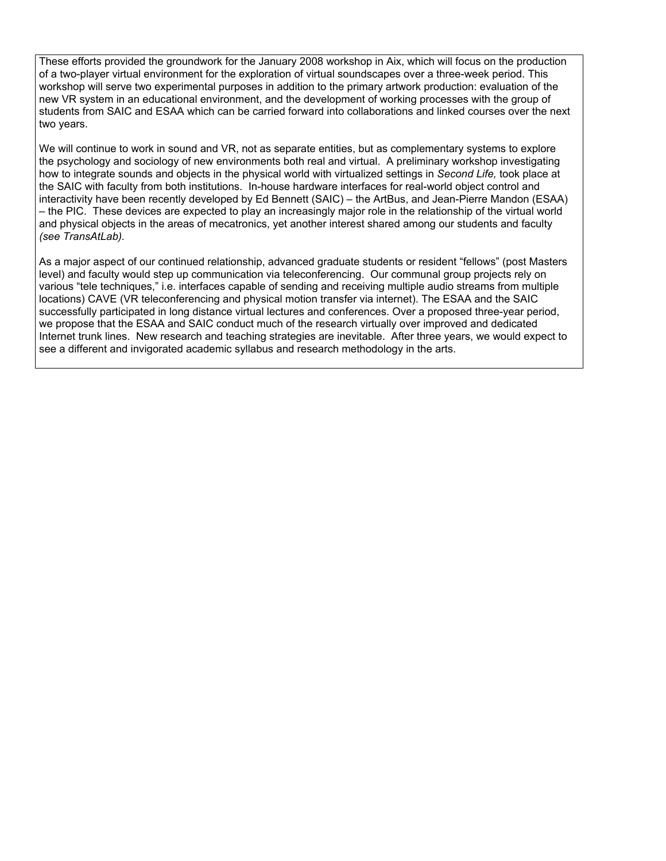These efforts provided the groundwork for the January 2008 workshop in Aix, which will focus on the production of a two-player virtual environment for the exploration of virtual soundscapes over a three-week period. This workshop will serve two experimental purposes in addition to the primary artwork production: evaluation of the new VR system in an educational environment, and the development of working processes with the group of students from SAIC and ESAA which can be carried forward into collaborations and linked courses over the next two years.

We will continue to work in sound and VR, not as separate entities, but as complementary systems to explore the psychology and sociology of new environments both real and virtual. A preliminary workshop investigating how to integrate sounds and objects in the physical world with virtualized settings in *Second Life,* took place at the SAIC with faculty from both institutions. In-house hardware interfaces for real-world object control and interactivity have been recently developed by Ed Bennett (SAIC) – the ArtBus, and Jean-Pierre Mandon (ESAA) – the PIC. These devices are expected to play an increasingly major role in the relationship of the virtual world and physical objects in the areas of mecatronics, yet another interest shared among our students and faculty *(see TransAtLab).*

As a major aspect of our continued relationship, advanced graduate students or resident "fellows" (post Masters level) and faculty would step up communication via teleconferencing. Our communal group projects rely on various "tele techniques," i.e. interfaces capable of sending and receiving multiple audio streams from multiple locations) CAVE (VR teleconferencing and physical motion transfer via internet). The ESAA and the SAIC successfully participated in long distance virtual lectures and conferences. Over a proposed three-year period, we propose that the ESAA and SAIC conduct much of the research virtually over improved and dedicated Internet trunk lines. New research and teaching strategies are inevitable. After three years, we would expect to see a different and invigorated academic syllabus and research methodology in the arts.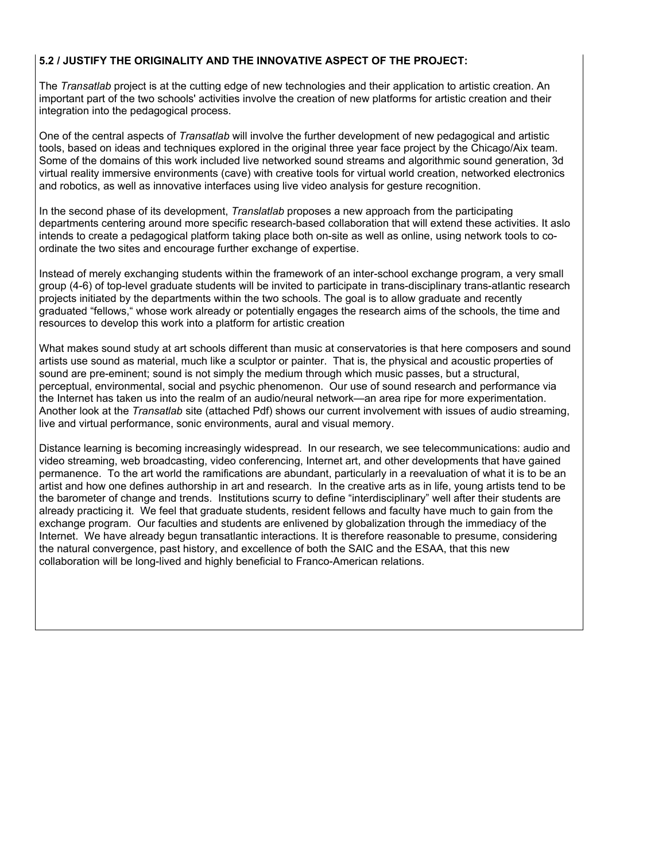#### **5.2 / JUSTIFY THE ORIGINALITY AND THE INNOVATIVE ASPECT OF THE PROJECT:**

The *Transatlab* project is at the cutting edge of new technologies and their application to artistic creation. An important part of the two schools' activities involve the creation of new platforms for artistic creation and their integration into the pedagogical process.

One of the central aspects of *Transatlab* will involve the further development of new pedagogical and artistic tools, based on ideas and techniques explored in the original three year face project by the Chicago/Aix team. Some of the domains of this work included live networked sound streams and algorithmic sound generation, 3d virtual reality immersive environments (cave) with creative tools for virtual world creation, networked electronics and robotics, as well as innovative interfaces using live video analysis for gesture recognition.

In the second phase of its development, *Translatlab* proposes a new approach from the participating departments centering around more specific research-based collaboration that will extend these activities. It aslo intends to create a pedagogical platform taking place both on-site as well as online, using network tools to coordinate the two sites and encourage further exchange of expertise.

Instead of merely exchanging students within the framework of an inter-school exchange program, a very small group (4-6) of top-level graduate students will be invited to participate in trans-disciplinary trans-atlantic research projects initiated by the departments within the two schools. The goal is to allow graduate and recently graduated "fellows," whose work already or potentially engages the research aims of the schools, the time and resources to develop this work into a platform for artistic creation

What makes sound study at art schools different than music at conservatories is that here composers and sound artists use sound as material, much like a sculptor or painter. That is, the physical and acoustic properties of sound are pre-eminent; sound is not simply the medium through which music passes, but a structural, perceptual, environmental, social and psychic phenomenon. Our use of sound research and performance via the Internet has taken us into the realm of an audio/neural network—an area ripe for more experimentation. Another look at the *Transatlab* site (attached Pdf) shows our current involvement with issues of audio streaming, live and virtual performance, sonic environments, aural and visual memory.

Distance learning is becoming increasingly widespread. In our research, we see telecommunications: audio and video streaming, web broadcasting, video conferencing, Internet art, and other developments that have gained permanence. To the art world the ramifications are abundant, particularly in a reevaluation of what it is to be an artist and how one defines authorship in art and research. In the creative arts as in life, young artists tend to be the barometer of change and trends. Institutions scurry to define "interdisciplinary" well after their students are already practicing it. We feel that graduate students, resident fellows and faculty have much to gain from the exchange program. Our faculties and students are enlivened by globalization through the immediacy of the Internet. We have already begun transatlantic interactions. It is therefore reasonable to presume, considering the natural convergence, past history, and excellence of both the SAIC and the ESAA, that this new collaboration will be long-lived and highly beneficial to Franco-American relations.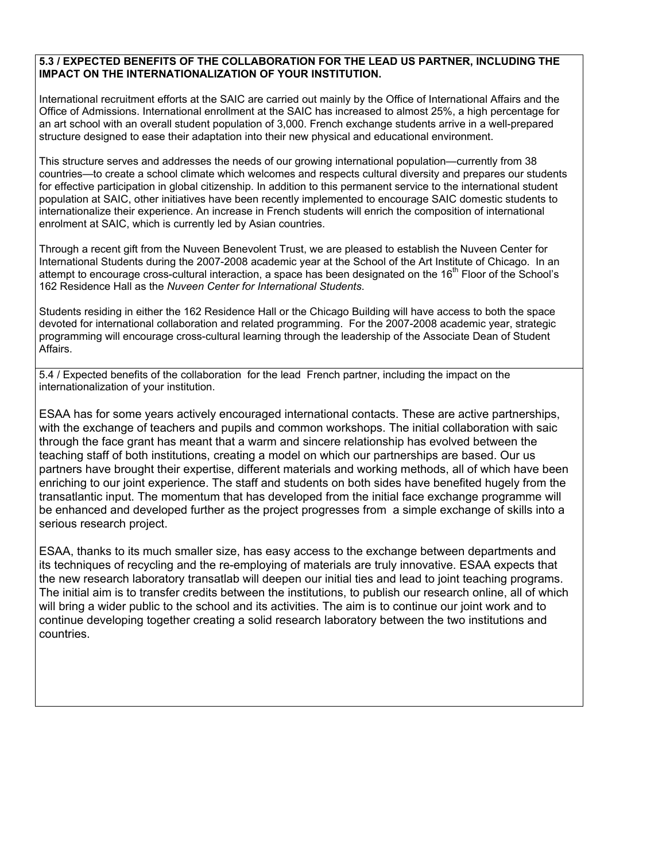#### **5.3 / EXPECTED BENEFITS OF THE COLLABORATION FOR THE LEAD US PARTNER, INCLUDING THE IMPACT ON THE INTERNATIONALIZATION OF YOUR INSTITUTION.**

International recruitment efforts at the SAIC are carried out mainly by the Office of International Affairs and the Office of Admissions. International enrollment at the SAIC has increased to almost 25%, a high percentage for an art school with an overall student population of 3,000. French exchange students arrive in a well-prepared structure designed to ease their adaptation into their new physical and educational environment.

This structure serves and addresses the needs of our growing international population—currently from 38 countries—to create a school climate which welcomes and respects cultural diversity and prepares our students for effective participation in global citizenship. In addition to this permanent service to the international student population at SAIC, other initiatives have been recently implemented to encourage SAIC domestic students to internationalize their experience. An increase in French students will enrich the composition of international enrolment at SAIC, which is currently led by Asian countries.

Through a recent gift from the Nuveen Benevolent Trust, we are pleased to establish the Nuveen Center for International Students during the 2007-2008 academic year at the School of the Art Institute of Chicago. In an attempt to encourage cross-cultural interaction, a space has been designated on the 16<sup>th</sup> Floor of the School's 162 Residence Hall as the *Nuveen Center for International Students*.

Students residing in either the 162 Residence Hall or the Chicago Building will have access to both the space devoted for international collaboration and related programming. For the 2007-2008 academic year, strategic programming will encourage cross-cultural learning through the leadership of the Associate Dean of Student Affairs.

5.4 / Expected benefits of the collaboration for the lead French partner, including the impact on the internationalization of your institution.

ESAA has for some years actively encouraged international contacts. These are active partnerships, with the exchange of teachers and pupils and common workshops. The initial collaboration with saic through the face grant has meant that a warm and sincere relationship has evolved between the teaching staff of both institutions, creating a model on which our partnerships are based. Our us partners have brought their expertise, different materials and working methods, all of which have been enriching to our joint experience. The staff and students on both sides have benefited hugely from the transatlantic input. The momentum that has developed from the initial face exchange programme will be enhanced and developed further as the project progresses from a simple exchange of skills into a serious research project.

ESAA, thanks to its much smaller size, has easy access to the exchange between departments and its techniques of recycling and the re-employing of materials are truly innovative. ESAA expects that the new research laboratory transatlab will deepen our initial ties and lead to joint teaching programs. The initial aim is to transfer credits between the institutions, to publish our research online, all of which will bring a wider public to the school and its activities. The aim is to continue our joint work and to continue developing together creating a solid research laboratory between the two institutions and countries.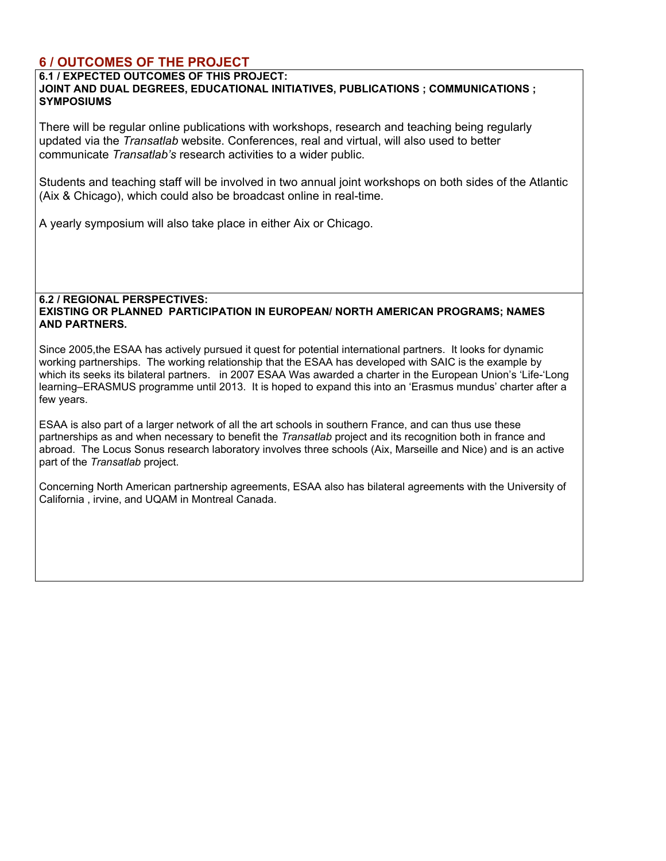## **6 / OUTCOMES OF THE PROJECT**

**6.1 / EXPECTED OUTCOMES OF THIS PROJECT:**

**JOINT AND DUAL DEGREES, EDUCATIONAL INITIATIVES, PUBLICATIONS ; COMMUNICATIONS ; SYMPOSIUMS**

There will be regular online publications with workshops, research and teaching being regularly updated via the *Transatlab* website. Conferences, real and virtual, will also used to better communicate *Transatlab's* research activities to a wider public.

Students and teaching staff will be involved in two annual joint workshops on both sides of the Atlantic (Aix & Chicago), which could also be broadcast online in real-time.

A yearly symposium will also take place in either Aix or Chicago.

#### **6.2 / REGIONAL PERSPECTIVES: EXISTING OR PLANNED PARTICIPATION IN EUROPEAN/ NORTH AMERICAN PROGRAMS; NAMES AND PARTNERS.**

Since 2005,the ESAA has actively pursued it quest for potential international partners. It looks for dynamic working partnerships. The working relationship that the ESAA has developed with SAIC is the example by which its seeks its bilateral partners. in 2007 ESAA Was awarded a charter in the European Union's 'Life-'Long learning–ERASMUS programme until 2013. It is hoped to expand this into an 'Erasmus mundus' charter after a few years.

ESAA is also part of a larger network of all the art schools in southern France, and can thus use these partnerships as and when necessary to benefit the *Transatlab* project and its recognition both in france and abroad. The Locus Sonus research laboratory involves three schools (Aix, Marseille and Nice) and is an active part of the *Transatlab* project.

Concerning North American partnership agreements, ESAA also has bilateral agreements with the University of California , irvine, and UQAM in Montreal Canada.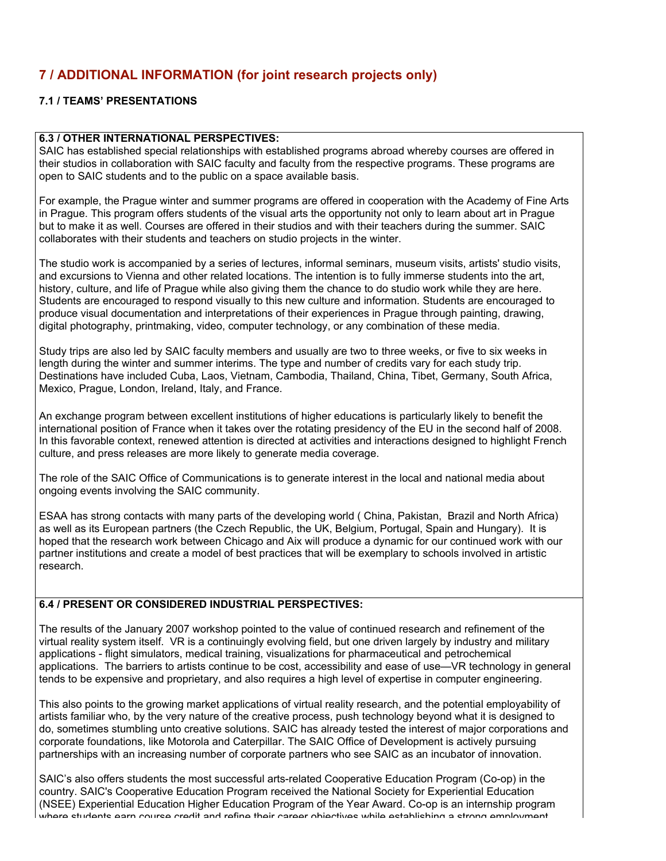## **7 / ADDITIONAL INFORMATION (for joint research projects only)**

#### **7.1 / TEAMS' PRESENTATIONS**

#### **6.3 / OTHER INTERNATIONAL PERSPECTIVES:**

SAIC has established special relationships with established programs abroad whereby courses are offered in their studios in collaboration with SAIC faculty and faculty from the respective programs. These programs are open to SAIC students and to the public on a space available basis.

For example, the Prague winter and summer programs are offered in cooperation with the Academy of Fine Arts in Prague. This program offers students of the visual arts the opportunity not only to learn about art in Prague but to make it as well. Courses are offered in their studios and with their teachers during the summer. SAIC collaborates with their students and teachers on studio projects in the winter.

The studio work is accompanied by a series of lectures, informal seminars, museum visits, artists' studio visits, and excursions to Vienna and other related locations. The intention is to fully immerse students into the art, history, culture, and life of Prague while also giving them the chance to do studio work while they are here. Students are encouraged to respond visually to this new culture and information. Students are encouraged to produce visual documentation and interpretations of their experiences in Prague through painting, drawing, digital photography, printmaking, video, computer technology, or any combination of these media.

Study trips are also led by SAIC faculty members and usually are two to three weeks, or five to six weeks in length during the winter and summer interims. The type and number of credits vary for each study trip. Destinations have included Cuba, Laos, Vietnam, Cambodia, Thailand, China, Tibet, Germany, South Africa, Mexico, Prague, London, Ireland, Italy, and France.

An exchange program between excellent institutions of higher educations is particularly likely to benefit the international position of France when it takes over the rotating presidency of the EU in the second half of 2008. In this favorable context, renewed attention is directed at activities and interactions designed to highlight French culture, and press releases are more likely to generate media coverage.

The role of the SAIC Office of Communications is to generate interest in the local and national media about ongoing events involving the SAIC community.

ESAA has strong contacts with many parts of the developing world ( China, Pakistan, Brazil and North Africa) as well as its European partners (the Czech Republic, the UK, Belgium, Portugal, Spain and Hungary). It is hoped that the research work between Chicago and Aix will produce a dynamic for our continued work with our partner institutions and create a model of best practices that will be exemplary to schools involved in artistic research.

## **6.4 / PRESENT OR CONSIDERED INDUSTRIAL PERSPECTIVES:**

The results of the January 2007 workshop pointed to the value of continued research and refinement of the virtual reality system itself. VR is a continuingly evolving field, but one driven largely by industry and military applications - flight simulators, medical training, visualizations for pharmaceutical and petrochemical applications. The barriers to artists continue to be cost, accessibility and ease of use—VR technology in general tends to be expensive and proprietary, and also requires a high level of expertise in computer engineering.

This also points to the growing market applications of virtual reality research, and the potential employability of artists familiar who, by the very nature of the creative process, push technology beyond what it is designed to do, sometimes stumbling unto creative solutions. SAIC has already tested the interest of major corporations and corporate foundations, like Motorola and Caterpillar. The SAIC Office of Development is actively pursuing partnerships with an increasing number of corporate partners who see SAIC as an incubator of innovation.

SAIC's also offers students the most successful arts-related Cooperative Education Program (Co-op) in the country. SAIC's Cooperative Education Program received the National Society for Experiential Education (NSEE) Experiential Education Higher Education Program of the Year Award. Co-op is an internship program where students earn course credit and refine their career objectives while establishing a strong employment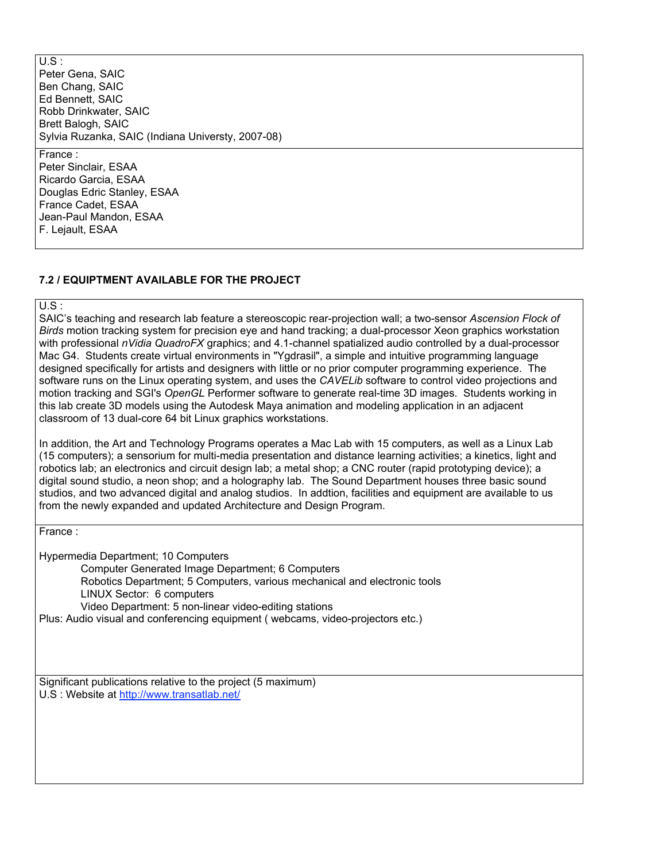$\overline{US}$ : Peter Gena, SAIC Ben Chang, SAIC Ed Bennett, SAIC Robb Drinkwater, SAIC Brett Balogh, SAIC Sylvia Ruzanka, SAIC (Indiana Universty, 2007-08)

#### France :

Peter Sinclair, ESAA Ricardo Garcia, ESAA Douglas Edric Stanley, ESAA France Cadet, ESAA Jean-Paul Mandon, ESAA F. Lejault, ESAA

#### **7.2 / EQUIPTMENT AVAILABLE FOR THE PROJECT**

U.S :

SAIC's teaching and research lab feature a stereoscopic rear-projection wall; a two-sensor *Ascension Flock of Birds* motion tracking system for precision eye and hand tracking; a dual-processor Xeon graphics workstation with professional *nVidia QuadroFX* graphics; and 4.1-channel spatialized audio controlled by a dual-processor Mac G4. Students create virtual environments in "Ygdrasil", a simple and intuitive programming language designed specifically for artists and designers with little or no prior computer programming experience. The software runs on the Linux operating system, and uses the *CAVELib* software to control video projections and motion tracking and SGI's *OpenGL* Performer software to generate real-time 3D images. Students working in this lab create 3D models using the Autodesk Maya animation and modeling application in an adjacent classroom of 13 dual-core 64 bit Linux graphics workstations.

In addition, the Art and Technology Programs operates a Mac Lab with 15 computers, as well as a Linux Lab (15 computers); a sensorium for multi-media presentation and distance learning activities; a kinetics, light and robotics lab; an electronics and circuit design lab; a metal shop; a CNC router (rapid prototyping device); a digital sound studio, a neon shop; and a holography lab. The Sound Department houses three basic sound studios, and two advanced digital and analog studios. In addtion, facilities and equipment are available to us from the newly expanded and updated Architecture and Design Program.

France :

Hypermedia Department; 10 Computers

Computer Generated Image Department; 6 Computers

Robotics Department; 5 Computers, various mechanical and electronic tools

LINUX Sector: 6 computers

Video Department: 5 non-linear video-editing stations

Plus: Audio visual and conferencing equipment ( webcams, video-projectors etc.)

Significant publications relative to the project (5 maximum) U.S : Website at http://www.transatlab.net/